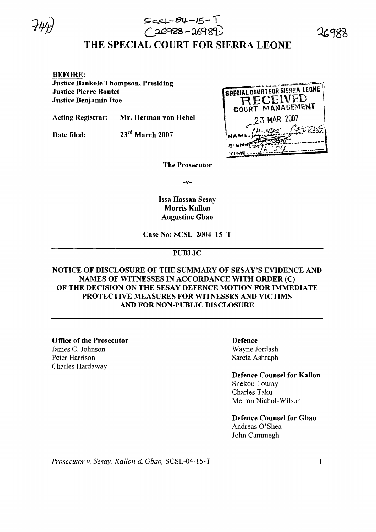

# $\bigcirc$ 26988-26989 $\cup$ THE SPECIAL COURT FOR SIERRA LEONE

*>C\$J--ee;,-I5-* -I

#### BEFORE:

Justice Bankole Thompson, Presiding Justice Pierre Boutet Justice Benjamin Hoe

Acting Registrar: Mr. Herman von Hebel

Date filed: 23<sup>rd</sup> March 2007



26988

The Prosecutor

-v-

Issa Hassan Sesay Morris Kallon Augustine Gbao

Case No: SCSL-2004-15-T

## PUBLIC

### NOTICE OF DISCLOSURE OF THE SUMMARY OF SESAY'S EVIDENCE AND NAMES OF WITNESSES IN ACCORDANCE WITH ORDER (C) OF THE DECISION ON THE SESAY DEFENCE MOTION FOR IMMEDIATE PROTECTIVE MEASURES FOR WITNESSES AND VICTIMS AND FOR NON-PUBLIC DISCLOSURE

Office of the Prosecutor James C. Johnson Peter Harrison Charles Hardaway

#### Defence Wayne Jordash Sareta Ashraph

Defence Counsel for Kallon Shekou Touray Charles Taku Melron Nichol-Wilson

Defence Counsel for Gbao Andreas O'Shea John Cammegh

*Prosecutor* v. *Sesay, Kallon* & *Gbao,* SCSL-04-15-T